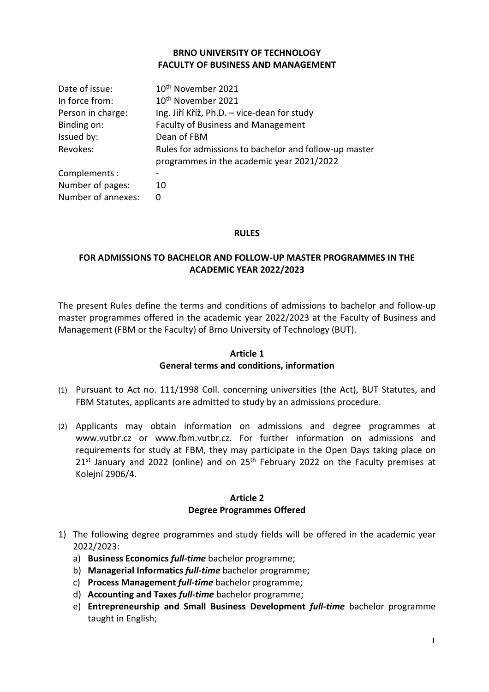## **BRNO UNIVERSITY OF TECHNOLOGY FACULTY OF BUSINESS AND MANAGEMENT**

| Date of issue:     | 10 <sup>th</sup> November 2021                                                                     |
|--------------------|----------------------------------------------------------------------------------------------------|
| In force from:     | 10 <sup>th</sup> November 2021                                                                     |
| Person in charge:  | Ing. Jiří Kříž, Ph.D. – vice-dean for study                                                        |
| Binding on:        | <b>Faculty of Business and Management</b>                                                          |
| Issued by:         | Dean of FBM                                                                                        |
| Revokes:           | Rules for admissions to bachelor and follow-up master<br>programmes in the academic year 2021/2022 |
| Complements:       |                                                                                                    |
| Number of pages:   | 10                                                                                                 |
| Number of annexes: | 0                                                                                                  |

## **RULES**

# **FOR ADMISSIONS TO BACHELOR AND FOLLOW-UP MASTER PROGRAMMES IN THE ACADEMIC YEAR 2022/2023**

The present Rules define the terms and conditions of admissions to bachelor and follow-up master programmes offered in the academic year 2022/2023 at the Faculty of Business and Management (FBM or the Faculty) of Brno University of Technology (BUT).

## **Article 1**

## **General terms and conditions, information**

- (1) Pursuant to Act no. 111/1998 Coll. concerning universities (the Act), BUT Statutes, and FBM Statutes, applicants are admitted to study by an admissions procedure.
- (2) Applicants may obtain information on admissions and degree programmes at www.vutbr.cz or www.fbm.vutbr.cz. For further information on admissions and requirements for study at FBM, they may participate in the Open Days taking place on  $21^{st}$  January and 2022 (online) and on  $25^{th}$  February 2022 on the Faculty premises at Kolejní 2906/4.

#### **Article 2 Degree Programmes Offered**

- 1) The following degree programmes and study fields will be offered in the academic year 2022/2023:
	- a) **Business Economics** *full-time* bachelor programme;
	- b) **Managerial Informatics** *full-time* bachelor programme;
	- c) **Process Management** *full-time* bachelor programme;
	- d) **Accounting and Taxes** *full-time* bachelor programme;
	- e) **Entrepreneurship and Small Business Development** *full-time* bachelor programme taught in English;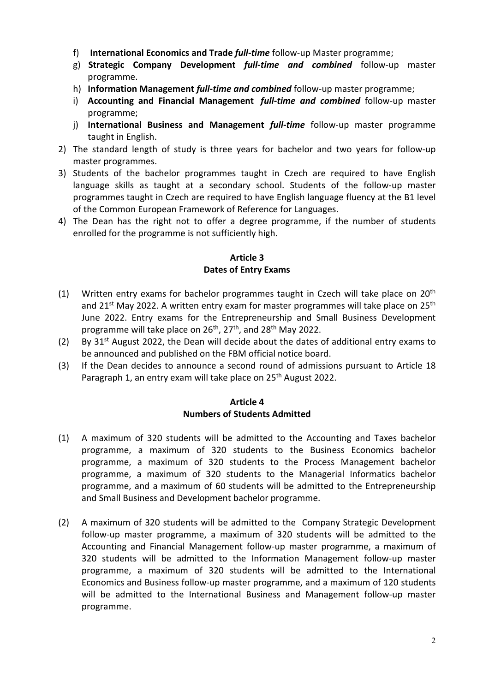- f) **International Economics and Trade** *full-time* follow-up Master programme;
- g) **Strategic Company Development** *full-time and combined* follow-up master programme.
- h) **Information Management** *full-time and combined* follow-up master programme;
- i) **Accounting and Financial Management** *full-time and combined* follow-up master programme;
- j) **International Business and Management** *full-time* follow-up master programme taught in English.
- 2) The standard length of study is three years for bachelor and two years for follow-up master programmes.
- 3) Students of the bachelor programmes taught in Czech are required to have English language skills as taught at a secondary school. Students of the follow-up master programmes taught in Czech are required to have English language fluency at the B1 level of the Common European Framework of Reference for Languages.
- 4) The Dean has the right not to offer a degree programme, if the number of students enrolled for the programme is not sufficiently high.

## **Article 3 Dates of Entry Exams**

- (1) Written entry exams for bachelor programmes taught in Czech will take place on  $20<sup>th</sup>$ and  $21^{st}$  May 2022. A written entry exam for master programmes will take place on  $25^{th}$ June 2022. Entry exams for the Entrepreneurship and Small Business Development programme will take place on 26<sup>th</sup>, 27<sup>th</sup>, and 28<sup>th</sup> May 2022.
- (2) By  $31^{st}$  August 2022, the Dean will decide about the dates of additional entry exams to be announced and published on the FBM official notice board.
- (3) If the Dean decides to announce a second round of admissions pursuant to Article 18 Paragraph 1, an entry exam will take place on  $25<sup>th</sup>$  August 2022.

## **Article 4 Numbers of Students Admitted**

- (1) A maximum of 320 students will be admitted to the Accounting and Taxes bachelor programme, a maximum of 320 students to the Business Economics bachelor programme, a maximum of 320 students to the Process Management bachelor programme, a maximum of 320 students to the Managerial Informatics bachelor programme, and a maximum of 60 students will be admitted to the Entrepreneurship and Small Business and Development bachelor programme.
- (2) A maximum of 320 students will be admitted to the Company Strategic Development follow-up master programme, a maximum of 320 students will be admitted to the Accounting and Financial Management follow-up master programme, a maximum of 320 students will be admitted to the Information Management follow-up master programme, a maximum of 320 students will be admitted to the International Economics and Business follow-up master programme, and a maximum of 120 students will be admitted to the International Business and Management follow-up master programme.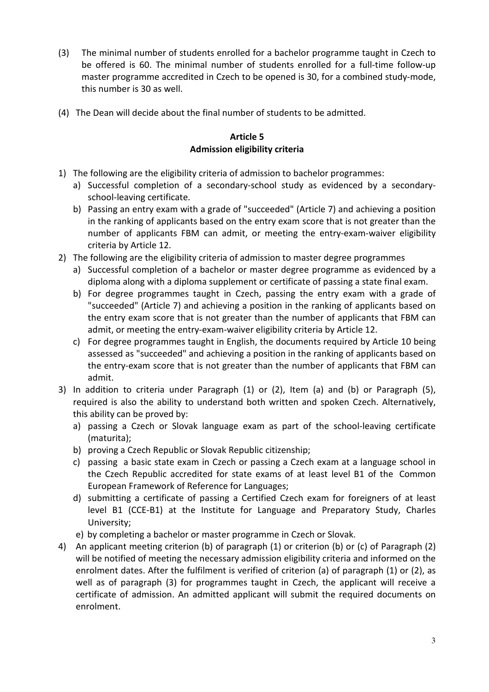- (3) The minimal number of students enrolled for a bachelor programme taught in Czech to be offered is 60. The minimal number of students enrolled for a full-time follow-up master programme accredited in Czech to be opened is 30, for a combined study-mode, this number is 30 as well.
- (4) The Dean will decide about the final number of students to be admitted.

## **Article 5 Admission eligibility criteria**

- 1) The following are the eligibility criteria of admission to bachelor programmes:
	- a) Successful completion of a secondary-school study as evidenced by a secondaryschool-leaving certificate.
	- b) Passing an entry exam with a grade of "succeeded" (Article 7) and achieving a position in the ranking of applicants based on the entry exam score that is not greater than the number of applicants FBM can admit, or meeting the entry-exam-waiver eligibility criteria by Article 12.
- 2) The following are the eligibility criteria of admission to master degree programmes
	- a) Successful completion of a bachelor or master degree programme as evidenced by a diploma along with a diploma supplement or certificate of passing a state final exam.
	- b) For degree programmes taught in Czech, passing the entry exam with a grade of "succeeded" (Article 7) and achieving a position in the ranking of applicants based on the entry exam score that is not greater than the number of applicants that FBM can admit, or meeting the entry-exam-waiver eligibility criteria by Article 12.
	- c) For degree programmes taught in English, the documents required by Article 10 being assessed as "succeeded" and achieving a position in the ranking of applicants based on the entry-exam score that is not greater than the number of applicants that FBM can admit.
- 3) In addition to criteria under Paragraph (1) or (2), Item (a) and (b) or Paragraph (5), required is also the ability to understand both written and spoken Czech. Alternatively, this ability can be proved by:
	- a) passing a Czech or Slovak language exam as part of the school-leaving certificate (maturita);
	- b) proving a Czech Republic or Slovak Republic citizenship;
	- c) passing a basic state exam in Czech or passing a Czech exam at a language school in the Czech Republic accredited for state exams of at least level B1 of the Common European Framework of Reference for Languages;
	- d) submitting a certificate of passing a Certified Czech exam for foreigners of at least level B1 (CCE-B1) at the Institute for Language and Preparatory Study, Charles University;
	- e) by completing a bachelor or master programme in Czech or Slovak.
- 4) An applicant meeting criterion (b) of paragraph (1) or criterion (b) or (c) of Paragraph (2) will be notified of meeting the necessary admission eligibility criteria and informed on the enrolment dates. After the fulfilment is verified of criterion (a) of paragraph (1) or (2), as well as of paragraph (3) for programmes taught in Czech, the applicant will receive a certificate of admission. An admitted applicant will submit the required documents on enrolment.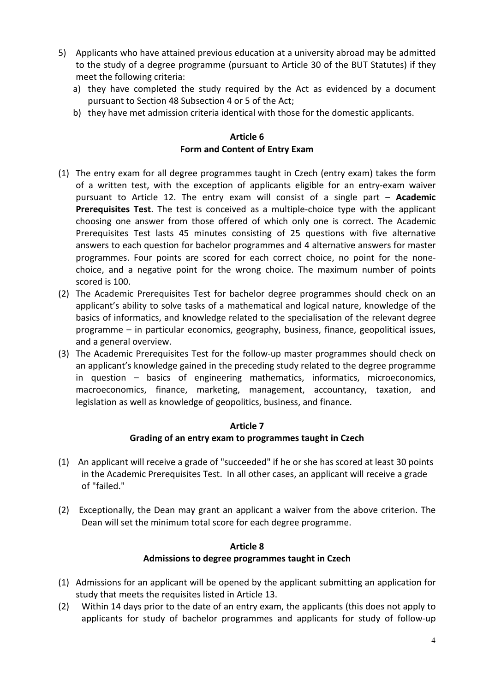- 5) Applicants who have attained previous education at a university abroad may be admitted to the study of a degree programme (pursuant to Article 30 of the BUT Statutes) if they meet the following criteria:
	- a) they have completed the study required by the Act as evidenced by a document pursuant to Section 48 Subsection 4 or 5 of the Act;
	- b) they have met admission criteria identical with those for the domestic applicants.

## **Article 6 Form and Content of Entry Exam**

- (1) The entry exam for all degree programmes taught in Czech (entry exam) takes the form of a written test, with the exception of applicants eligible for an entry-exam waiver pursuant to Article 12. The entry exam will consist of a single part – **Academic Prerequisites Test**. The test is conceived as a multiple-choice type with the applicant choosing one answer from those offered of which only one is correct. The Academic Prerequisites Test lasts 45 minutes consisting of 25 questions with five alternative answers to each question for bachelor programmes and 4 alternative answers for master programmes. Four points are scored for each correct choice, no point for the nonechoice, and a negative point for the wrong choice. The maximum number of points scored is 100.
- (2) The Academic Prerequisites Test for bachelor degree programmes should check on an applicant's ability to solve tasks of a mathematical and logical nature, knowledge of the basics of informatics, and knowledge related to the specialisation of the relevant degree programme – in particular economics, geography, business, finance, geopolitical issues, and a general overview.
- (3) The Academic Prerequisites Test for the follow-up master programmes should check on an applicant's knowledge gained in the preceding study related to the degree programme in question – basics of engineering mathematics, informatics, microeconomics, macroeconomics, finance, marketing, management, accountancy, taxation, and legislation as well as knowledge of geopolitics, business, and finance.

## **Article 7**

## **Grading of an entry exam to programmes taught in Czech**

- (1) An applicant will receive a grade of "succeeded" if he or she has scored at least 30 points in the Academic Prerequisites Test. In all other cases, an applicant will receive a grade of "failed."
- (2) Exceptionally, the Dean may grant an applicant a waiver from the above criterion. The Dean will set the minimum total score for each degree programme.

## **Article 8 Admissions to degree programmes taught in Czech**

- (1) Admissions for an applicant will be opened by the applicant submitting an application for study that meets the requisites listed in Article 13.
- (2) Within 14 days prior to the date of an entry exam, the applicants (this does not apply to applicants for study of bachelor programmes and applicants for study of follow-up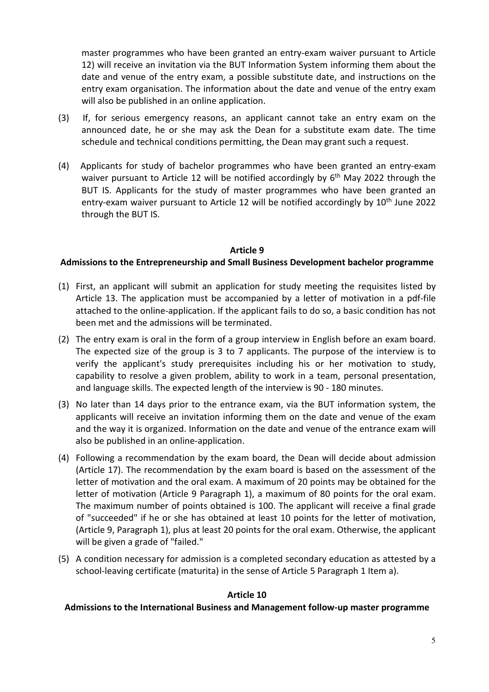master programmes who have been granted an entry-exam waiver pursuant to Article 12) will receive an invitation via the BUT Information System informing them about the date and venue of the entry exam, a possible substitute date, and instructions on the entry exam organisation. The information about the date and venue of the entry exam will also be published in an online application.

- (3) If, for serious emergency reasons, an applicant cannot take an entry exam on the announced date, he or she may ask the Dean for a substitute exam date. The time schedule and technical conditions permitting, the Dean may grant such a request.
- (4) Applicants for study of bachelor programmes who have been granted an entry-exam waiver pursuant to Article 12 will be notified accordingly by  $6<sup>th</sup>$  May 2022 through the BUT IS. Applicants for the study of master programmes who have been granted an entry-exam waiver pursuant to Article 12 will be notified accordingly by 10<sup>th</sup> June 2022 through the BUT IS.

#### **Article 9**

## **Admissions to the Entrepreneurship and Small Business Development bachelor programme**

- (1) First, an applicant will submit an application for study meeting the requisites listed by Article 13. The application must be accompanied by a letter of motivation in a pdf-file attached to the online-application. If the applicant fails to do so, a basic condition has not been met and the admissions will be terminated.
- (2) The entry exam is oral in the form of a group interview in English before an exam board. The expected size of the group is 3 to 7 applicants. The purpose of the interview is to verify the applicant's study prerequisites including his or her motivation to study, capability to resolve a given problem, ability to work in a team, personal presentation, and language skills. The expected length of the interview is 90 - 180 minutes.
- (3) No later than 14 days prior to the entrance exam, via the BUT information system, the applicants will receive an invitation informing them on the date and venue of the exam and the way it is organized. Information on the date and venue of the entrance exam will also be published in an online-application.
- (4) Following a recommendation by the exam board, the Dean will decide about admission (Article 17). The recommendation by the exam board is based on the assessment of the letter of motivation and the oral exam. A maximum of 20 points may be obtained for the letter of motivation (Article 9 Paragraph 1), a maximum of 80 points for the oral exam. The maximum number of points obtained is 100. The applicant will receive a final grade of "succeeded" if he or she has obtained at least 10 points for the letter of motivation, (Article 9, Paragraph 1), plus at least 20 points for the oral exam. Otherwise, the applicant will be given a grade of "failed."
- (5) A condition necessary for admission is a completed secondary education as attested by a school-leaving certificate (maturita) in the sense of Article 5 Paragraph 1 Item a).

#### **Article 10**

#### **Admissions to the International Business and Management follow-up master programme**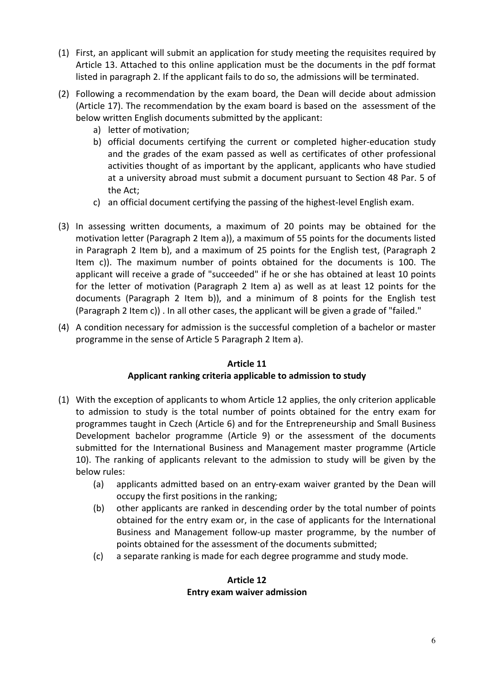- (1) First, an applicant will submit an application for study meeting the requisites required by Article 13. Attached to this online application must be the documents in the pdf format listed in paragraph 2. If the applicant fails to do so, the admissions will be terminated.
- (2) Following a recommendation by the exam board, the Dean will decide about admission (Article 17). The recommendation by the exam board is based on the assessment of the below written English documents submitted by the applicant:
	- a) letter of motivation;
	- b) official documents certifying the current or completed higher-education study and the grades of the exam passed as well as certificates of other professional activities thought of as important by the applicant, applicants who have studied at a university abroad must submit a document pursuant to Section 48 Par. 5 of the Act;
	- c) an official document certifying the passing of the highest-level English exam.
- (3) In assessing written documents, a maximum of 20 points may be obtained for the motivation letter (Paragraph 2 Item a)), a maximum of 55 points for the documents listed in Paragraph 2 Item b), and a maximum of 25 points for the English test, (Paragraph 2 Item c)). The maximum number of points obtained for the documents is 100. The applicant will receive a grade of "succeeded" if he or she has obtained at least 10 points for the letter of motivation (Paragraph 2 Item a) as well as at least 12 points for the documents (Paragraph 2 Item b)), and a minimum of 8 points for the English test (Paragraph 2 Item c)) . In all other cases, the applicant will be given a grade of "failed."
- (4) A condition necessary for admission is the successful completion of a bachelor or master programme in the sense of Article 5 Paragraph 2 Item a).

#### **Article 11**

## **Applicant ranking criteria applicable to admission to study**

- (1) With the exception of applicants to whom Article 12 applies, the only criterion applicable to admission to study is the total number of points obtained for the entry exam for programmes taught in Czech (Article 6) and for the Entrepreneurship and Small Business Development bachelor programme (Article 9) or the assessment of the documents submitted for the International Business and Management master programme (Article 10). The ranking of applicants relevant to the admission to study will be given by the below rules:
	- (a) applicants admitted based on an entry-exam waiver granted by the Dean will occupy the first positions in the ranking;
	- (b) other applicants are ranked in descending order by the total number of points obtained for the entry exam or, in the case of applicants for the International Business and Management follow-up master programme, by the number of points obtained for the assessment of the documents submitted;
	- (c) a separate ranking is made for each degree programme and study mode.

## **Article 12 Entry exam waiver admission**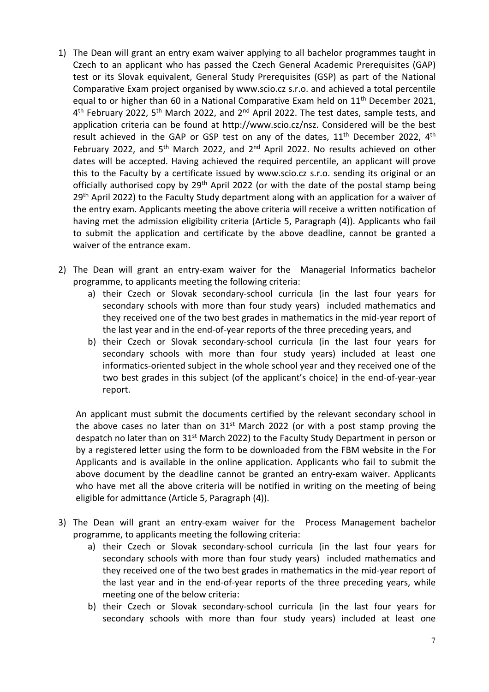- 1) The Dean will grant an entry exam waiver applying to all bachelor programmes taught in Czech to an applicant who has passed the Czech General Academic Prerequisites (GAP) test or its Slovak equivalent, General Study Prerequisites (GSP) as part of the National Comparative Exam project organised by www.scio.cz s.r.o. and achieved a total percentile equal to or higher than 60 in a National Comparative Exam held on  $11<sup>th</sup>$  December 2021, 4<sup>th</sup> February 2022, 5<sup>th</sup> March 2022, and 2<sup>nd</sup> April 2022. The test dates, sample tests, and application criteria can be found at http://www.scio.cz/nsz. Considered will be the best result achieved in the GAP or GSP test on any of the dates, 11<sup>th</sup> December 2022, 4<sup>th</sup> February 2022, and 5<sup>th</sup> March 2022, and 2<sup>nd</sup> April 2022. No results achieved on other dates will be accepted. Having achieved the required percentile, an applicant will prove this to the Faculty by a certificate issued by www.scio.cz s.r.o. sending its original or an officially authorised copy by 29<sup>th</sup> April 2022 (or with the date of the postal stamp being 29<sup>th</sup> April 2022) to the Faculty Study department along with an application for a waiver of the entry exam. Applicants meeting the above criteria will receive a written notification of having met the admission eligibility criteria (Article 5, Paragraph (4)). Applicants who fail to submit the application and certificate by the above deadline, cannot be granted a waiver of the entrance exam.
- 2) The Dean will grant an entry-exam waiver for the Managerial Informatics bachelor programme, to applicants meeting the following criteria:
	- a) their Czech or Slovak secondary-school curricula (in the last four years for secondary schools with more than four study years) included mathematics and they received one of the two best grades in mathematics in the mid-year report of the last year and in the end-of-year reports of the three preceding years, and
	- b) their Czech or Slovak secondary-school curricula (in the last four years for secondary schools with more than four study years) included at least one informatics-oriented subject in the whole school year and they received one of the two best grades in this subject (of the applicant's choice) in the end-of-year-year report.

An applicant must submit the documents certified by the relevant secondary school in the above cases no later than on  $31<sup>st</sup>$  March 2022 (or with a post stamp proving the despatch no later than on 31<sup>st</sup> March 2022) to the Faculty Study Department in person or by a registered letter using the form to be downloaded from the FBM website in the For Applicants and is available in the online application. Applicants who fail to submit the above document by the deadline cannot be granted an entry-exam waiver. Applicants who have met all the above criteria will be notified in writing on the meeting of being eligible for admittance (Article 5, Paragraph (4)).

- 3) The Dean will grant an entry-exam waiver for the Process Management bachelor programme, to applicants meeting the following criteria:
	- a) their Czech or Slovak secondary-school curricula (in the last four years for secondary schools with more than four study years) included mathematics and they received one of the two best grades in mathematics in the mid-year report of the last year and in the end-of-year reports of the three preceding years, while meeting one of the below criteria:
	- b) their Czech or Slovak secondary-school curricula (in the last four years for secondary schools with more than four study years) included at least one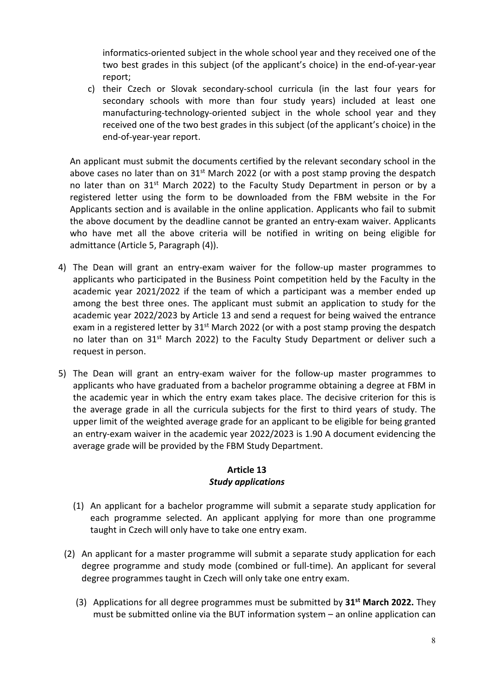informatics-oriented subject in the whole school year and they received one of the two best grades in this subject (of the applicant's choice) in the end-of-year-year report;

c) their Czech or Slovak secondary-school curricula (in the last four years for secondary schools with more than four study years) included at least one manufacturing-technology-oriented subject in the whole school year and they received one of the two best grades in this subject (of the applicant's choice) in the end-of-year-year report.

An applicant must submit the documents certified by the relevant secondary school in the above cases no later than on  $31<sup>st</sup>$  March 2022 (or with a post stamp proving the despatch no later than on 31<sup>st</sup> March 2022) to the Faculty Study Department in person or by a registered letter using the form to be downloaded from the FBM website in the For Applicants section and is available in the online application. Applicants who fail to submit the above document by the deadline cannot be granted an entry-exam waiver. Applicants who have met all the above criteria will be notified in writing on being eligible for admittance (Article 5, Paragraph (4)).

- 4) The Dean will grant an entry-exam waiver for the follow-up master programmes to applicants who participated in the Business Point competition held by the Faculty in the academic year 2021/2022 if the team of which a participant was a member ended up among the best three ones. The applicant must submit an application to study for the academic year 2022/2023 by Article 13 and send a request for being waived the entrance exam in a registered letter by  $31<sup>st</sup>$  March 2022 (or with a post stamp proving the despatch no later than on 31<sup>st</sup> March 2022) to the Faculty Study Department or deliver such a request in person.
- 5) The Dean will grant an entry-exam waiver for the follow-up master programmes to applicants who have graduated from a bachelor programme obtaining a degree at FBM in the academic year in which the entry exam takes place. The decisive criterion for this is the average grade in all the curricula subjects for the first to third years of study. The upper limit of the weighted average grade for an applicant to be eligible for being granted an entry-exam waiver in the academic year 2022/2023 is 1.90 A document evidencing the average grade will be provided by the FBM Study Department.

## **Article 13**  *Study applications*

- (1) An applicant for a bachelor programme will submit a separate study application for each programme selected. An applicant applying for more than one programme taught in Czech will only have to take one entry exam.
- (2) An applicant for a master programme will submit a separate study application for each degree programme and study mode (combined or full-time). An applicant for several degree programmes taught in Czech will only take one entry exam.
	- (3) Applications for all degree programmes must be submitted by **31st March 2022.** They must be submitted online via the BUT information system – an online application can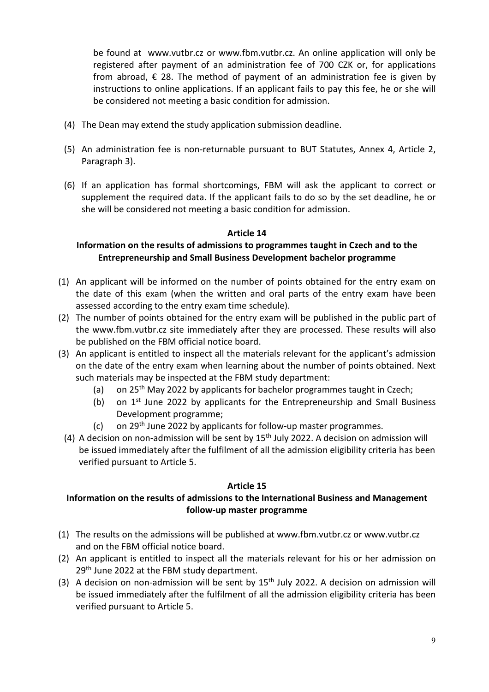be found at www.vutbr.cz or www.fbm.vutbr.cz. An online application will only be registered after payment of an administration fee of 700 CZK or, for applications from abroad,  $\epsilon$  28. The method of payment of an administration fee is given by instructions to online applications. If an applicant fails to pay this fee, he or she will be considered not meeting a basic condition for admission.

- (4) The Dean may extend the study application submission deadline.
- (5) An administration fee is non-returnable pursuant to BUT Statutes, Annex 4, Article 2, Paragraph 3).
- (6) If an application has formal shortcomings, FBM will ask the applicant to correct or supplement the required data. If the applicant fails to do so by the set deadline, he or she will be considered not meeting a basic condition for admission.

## **Article 14**

# **Information on the results of admissions to programmes taught in Czech and to the Entrepreneurship and Small Business Development bachelor programme**

- (1) An applicant will be informed on the number of points obtained for the entry exam on the date of this exam (when the written and oral parts of the entry exam have been assessed according to the entry exam time schedule).
- (2) The number of points obtained for the entry exam will be published in the public part of the www.fbm.vutbr.cz site immediately after they are processed. These results will also be published on the FBM official notice board.
- (3) An applicant is entitled to inspect all the materials relevant for the applicant's admission on the date of the entry exam when learning about the number of points obtained. Next such materials may be inspected at the FBM study department:
	- (a) on 25<sup>th</sup> May 2022 by applicants for bachelor programmes taught in Czech;
	- (b) on  $1<sup>st</sup>$  June 2022 by applicants for the Entrepreneurship and Small Business Development programme;
	- (c) on 29th June 2022 by applicants for follow-up master programmes.
	- (4) A decision on non-admission will be sent by  $15<sup>th</sup>$  July 2022. A decision on admission will be issued immediately after the fulfilment of all the admission eligibility criteria has been verified pursuant to Article 5.

## **Article 15**

# **Information on the results of admissions to the International Business and Management follow-up master programme**

- (1) The results on the admissions will be published at www.fbm.vutbr.cz or www.vutbr.cz and on the FBM official notice board.
- (2) An applicant is entitled to inspect all the materials relevant for his or her admission on 29<sup>th</sup> June 2022 at the FBM study department.
- (3) A decision on non-admission will be sent by  $15<sup>th</sup>$  July 2022. A decision on admission will be issued immediately after the fulfilment of all the admission eligibility criteria has been verified pursuant to Article 5.